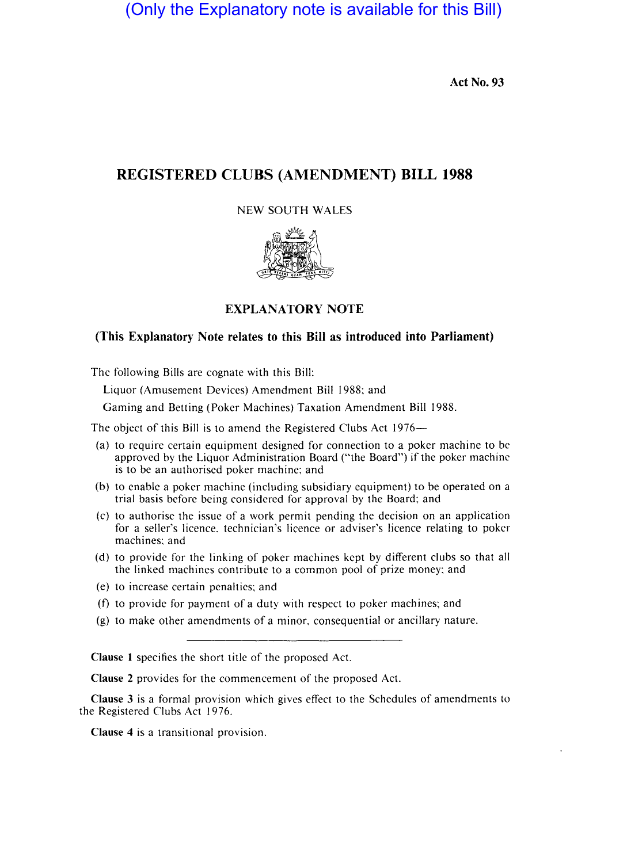(Only the Explanatory note is available for this Bill)

Act No. 93

# REGISTERED CLUBS (AMENDMENT) BILL 1988

## NEW SOUTH WALES



## EXPLANATORY NOTE

## (This Explanatory Note relates to this Bill as introduced into Parliament)

The following Bills are cognate with this Bill:

Liquor (Amusement Devices) Amendment Bill 1988; and

Gaming and Betting (Poker Machines) Taxation Amendment Bill 1988.

The object of this Bill is to amend the Registered Clubs Act 1976-

- (a) to require certain equipment designed for connection to a poker machine to be approved by the Liquor Administration Board ("the Board") if the poker machine is to be an authorised poker machine; and
- $(b)$  to enable a poker machine (including subsidiary equipment) to be operated on a trial basis before being considered for approval by the Board; and
- $(c)$  to authorise the issue of a work permit pending the decision on an application for a seller's licence. technician's licence or adviser's licence relating to poker machines; and
- (d) to provide for the linking of poker machines kept by different clubs so that all the linked machines contribute to a common pool of prize money; and
- (e) to increase certain penalties; and
- (f) to provide for payment of a duty with respect to poker machines; and
- (g) to make other amendments of a minor, eonsequential or ancillary nature.

Clause 1 specifies the short title of the proposed Act.

Clause 2 provides for the commencement of the proposed Act.

Clause 3 is a formal provision which gives effect to the Schedules of amendments to the Registered Clubs Act 1976.

Clause 4 is a transitional provision.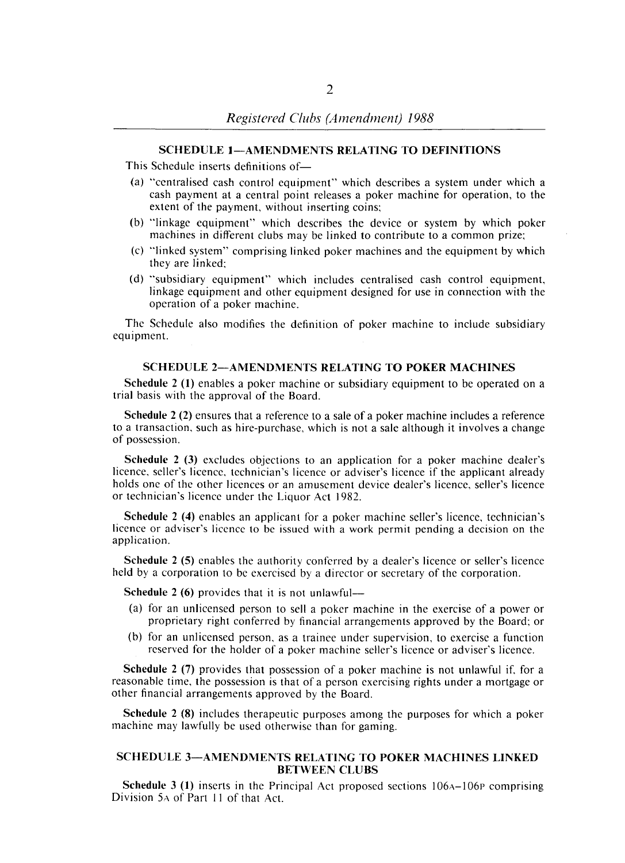#### SCHEDULE I-AMENDMENTS RELATING TO DEFINITIONS

This Schedule inserts definitions of-

- (a) "centralised cash control equipment" which describes a system under which a cash payment at a central point releases a poker machine for operation, to the extent of the payment, without inserting coins;
- (b) "linkage equipment" which describes the device or system by which poker machines in different clubs may be linked to contribute to a common prize;
- (c) "linked system" comprising linked poker machines and the equipment by which they are linked;
- (d) "subsidiary equipment" which includes centralised cash control equipment, linkage equipment and other equipment designed for use in connection with the operation of a poker machine.

The Schedule also modifies the definition of poker machine to include subsidiary equipment.

### SCHEDULE 2-AMENDMENTS RELATING TO POKER MACHINES

Schedule 2 (I) enables a poker machine or subsidiary equipment to be operated on a trial basis with the approval of the Board.

Schedule 2 (2) ensures that a reference to a sale of a poker machine includes a reference to a transaction, such as hire-purchase, which is not a sale although it involves a change of possession.

Schedule 2 (3) excludes objections to an application for a poker machine dealer's licence, seller's licence, technician's licence or adviser's licence if the applicant already holds onc of the other licences or an amusement device dealer's licence, seller's licence or technician's licence under the Liquor Act 1982.

Schedule 2 (4) enables an applicant for a poker machine seller's licence, technician's licence or adviser's licence to be issued with a work permit pending a decision on the application.

Schedule 2 (5) enables the authority conferred by a dealer's licence or seller's licence held by a corporation to be exercised by a director or secretary of the corporation.

Schedule 2  $(6)$  provides that it is not unlawful—

- (a) for an unlicensed person to sell a poker machine in the exercise of a power or proprietary right conferred by financial arrangements approved by the Board; or
- (b) for an unlicensed person, as a trainee under supervision, to exercise a function reserved for the holder of a poker machine seller's licence or adviser's licence.

Schedule 2 (7) provides that possession of a poker machine is not unlawful if, for a reasonable time, the possession is that of a person exercising rights under a mortgage or other financial arrangements approved by the Board.

Schedule 2 (8) includes therapeutic purposes among the purposes for which a poker machine may lawfully be used otherwise than for gaming.

### SCHEDULE 3-AMENDMENTS RELATING TO POKER MACHINES LINKED BETWEEN CLUBS

**Schedule 3 (1)** inserts in the Principal Act proposed sections  $106A-106P$  comprising Division 5A of Part 11 of that Act.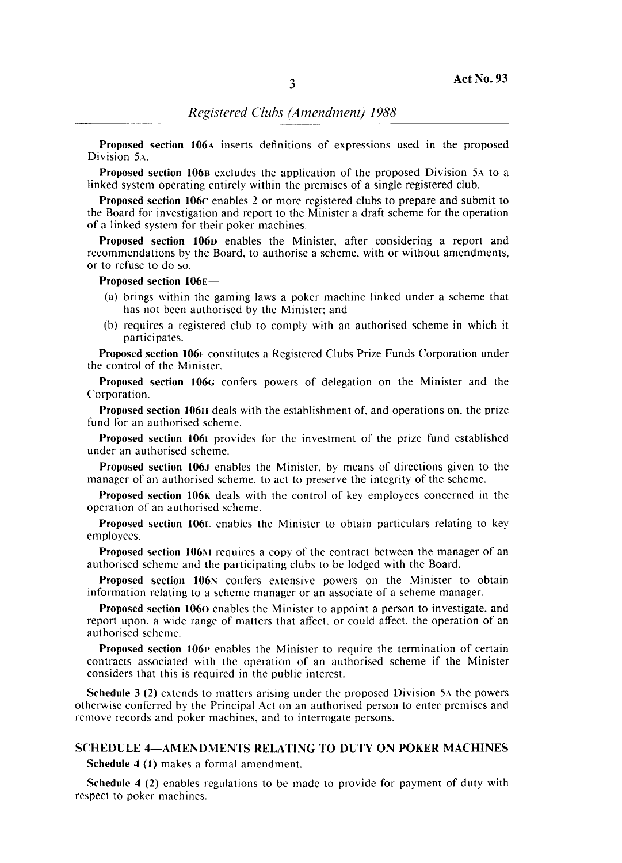Proposed section 106A inserts definitions of expressions used in the proposed Division SA.

Proposed section 1068 excludes the application of the proposed Division SA to a linked system operating entirely within the premises of a single registered club.

Proposed section 106c enables 2 or more registered clubs to prepare and submit to the Board for investigation and report to the Minister a draft scheme for the operation of a linked system for their poker machines.

Proposed section 106D enables the Minister, after considering a report and recommendations by the Board, to authorise a scheme, with or without amendments, or to refuse to do so.

Proposed section 106E-

- (a) brings within the gaming laws a poker machine linked under a scheme that has not been authorised by the Minister; and
- (b) requires a registered club to comply with an authorised scheme in which it participates.

Proposed section 106F constitutes a Registered Clubs Prize Funds Corporation under the control of the Minister.

Proposed section 106G confers powers of delegation on the Minister and the Corporation.

Proposed section 10611 deals with the establishment of, and operations on, the prize fund for an authorised scheme.

Proposed section 1061 provides for the investment of the prize fund established under an authorised scheme.

Proposed section 106J enables the Minister, by means of directions given to the manager of an authorised scheme, to act to preserve the integrity of the scheme.

Proposed section I06K deals with the control of key employees concerned in the operation of an authorised scheme.

Proposed section 1061. enables the Minister to obtain particulars relating to key employees.

Proposed section 106 $\mu$  requires a copy of the contract between the manager of an authorised scheme and the participating clubs to be lodged with the Board.

Proposed section 106N confers extensive powers on the Minister to obtain information relating to a scheme manager or an associate of a scheme manager.

Proposed section 1060 enables the Minister to appoint a person to investigate, and report upon, a wide range of matters that affect, or could affect, the operation of an authorised scheme.

Proposed section 106p enables the Minister to require the termination of certain contracts associated with the operation of an authorised scheme if the Minister considers that this is required in the public interest.

Schedule 3 (2) extends to matters arising under the proposed Division SA the powers otherwise conferred by the Principal Act on an authorised person to enter premises and remove records and poker machines, and to interrogate persons.

### SCHEDULE 4-AMENDMENTS RELATING TO DUTY ON POKER MACHINES

Schedule 4 (I) makes a formal amendment.

Schedule 4 (2) enables regulations to be made to provide for payment of duty with respect to poker machines.